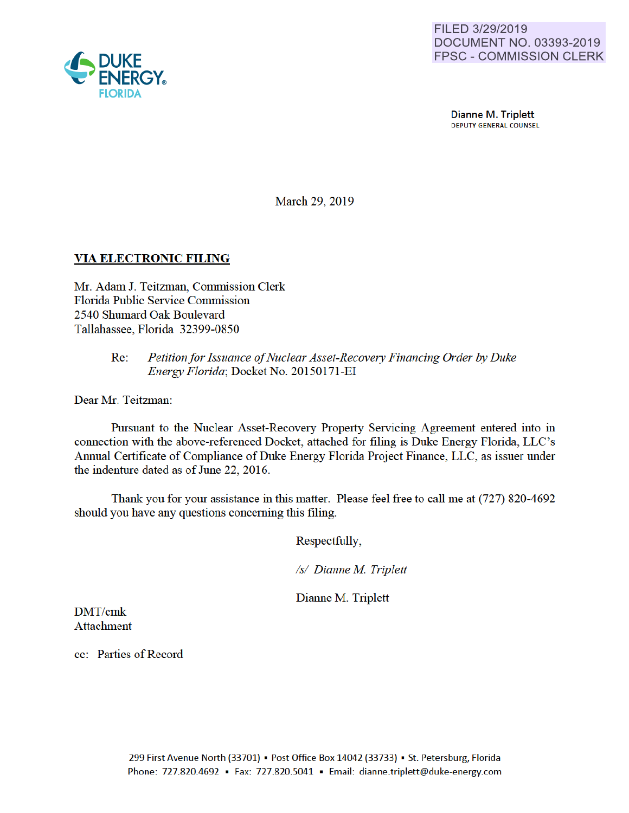

**Dianne M. Triplett**<br>DEPUTY GENERAL COUNSEL

March 29, 2019

### VIA ELECTRONIC FILING

Mr. Adam J. Teitzman, Commission Clerk Florida Public Service Commission 2540 Shumard Oak Boulevard Tallahassee, Florida 32399-0850

#### Re: *Petition for Issuance of Nuclear Asset-Recovery Financing Order by Duke Energy Florida;* Docket No. 20150171-EI

Dear Mr. Teitzman:

Pursuant to the Nuclear Asset-Recovery Property Servicing Agreement entered into in connection with the above-referenced Docket, attached for filing is Duke Energy Florida, LLC 's Annual Certificate of Compliance of Duke Energy Florida Project Finance, LLC, as issuer under the indenture dated as of June 22, 2016.

Thank you for your assistance in this matter. Please feel free to call me at (727) 820-4692 should you have any questions conceming this filing.

Respectfully,

*Is/ Dianne M Triplett* 

Dianne M. Triplett

DMT/cmk Attachment

cc: Patties of Record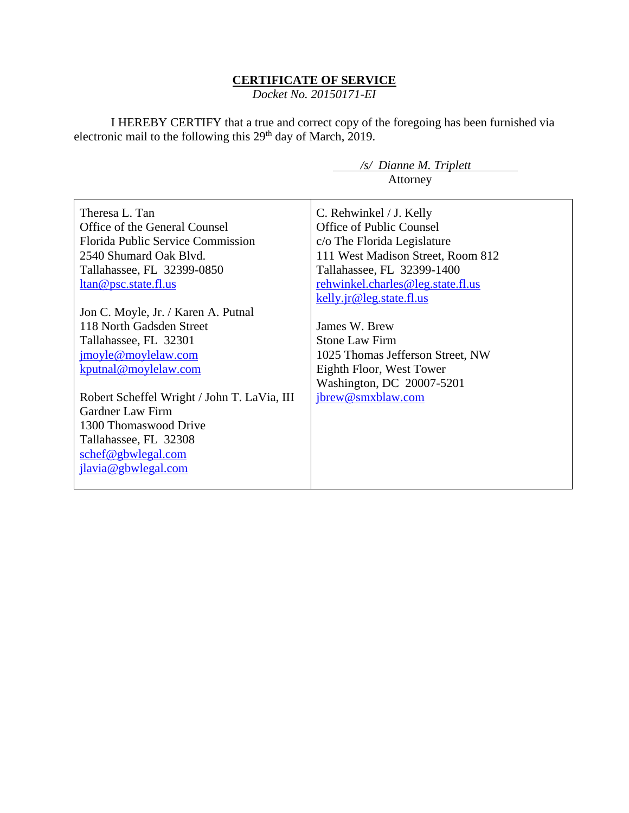### **CERTIFICATE OF SERVICE**

*Docket No. 20150171-EI*

I HEREBY CERTIFY that a true and correct copy of the foregoing has been furnished via electronic mail to the following this 29<sup>th</sup> day of March, 2019.

|                                             | /s/ Dianne M. Triplett            |
|---------------------------------------------|-----------------------------------|
|                                             | Attorney                          |
|                                             |                                   |
| Theresa L. Tan                              | C. Rehwinkel / J. Kelly           |
| Office of the General Counsel               | Office of Public Counsel          |
| Florida Public Service Commission           | c/o The Florida Legislature       |
| 2540 Shumard Oak Blvd.                      | 111 West Madison Street, Room 812 |
| Tallahassee, FL 32399-0850                  | Tallahassee, FL 32399-1400        |
| ltan@psc.state.fl.us                        | rehwinkel.charles@leg.state.fl.us |
|                                             | kelly.jr@leg.state.fl.us          |
| Jon C. Moyle, Jr. / Karen A. Putnal         |                                   |
| 118 North Gadsden Street                    | James W. Brew                     |
| Tallahassee, FL 32301                       | <b>Stone Law Firm</b>             |
| jmoyle@moylelaw.com                         | 1025 Thomas Jefferson Street, NW  |
| kputnal@moylelaw.com                        | Eighth Floor, West Tower          |
|                                             | Washington, DC 20007-5201         |
| Robert Scheffel Wright / John T. LaVia, III | jbrew@smxblaw.com                 |
| <b>Gardner Law Firm</b>                     |                                   |
| 1300 Thomaswood Drive                       |                                   |
| Tallahassee, FL 32308                       |                                   |
| schef@gbwlegal.com                          |                                   |
| jlavia@gbwlegal.com                         |                                   |
|                                             |                                   |